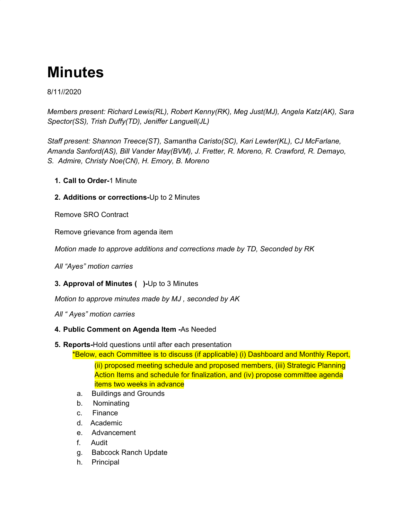# **Minutes**

# 8/11//2020

*Members present: Richard Lewis(RL), Robert Kenny(RK), Meg Just(MJ), Angela Katz(AK), Sara Spector(SS), Trish Duffy(TD), Jeniffer Languell(JL)*

*Staff present: Shannon Treece(ST), Samantha Caristo(SC), Kari Lewter(KL), CJ McFarlane, Amanda Sanford(AS), Bill Vander May(BVM), J. Fretter, R. Moreno, R. Crawford, R. Demayo, S. Admire, Christy Noe(CN), H. Emory, B. Moreno*

- **1. Call to Order-**1 Minute
- **2. Additions or corrections-**Up to 2 Minutes

Remove SRO Contract

Remove grievance from agenda item

*Motion made to approve additions and corrections made by TD, Seconded by RK*

*All "Ayes" motion carries*

# **3. Approval of Minutes ( )-**Up to 3 Minutes

*Motion to approve minutes made by MJ , seconded by AK*

*All " Ayes" motion carries*

# **4. Public Comment on Agenda Item -**As Needed

# **5. Reports-**Hold questions until after each presentation

\*Below, each Committee is to discuss (if applicable) (i) Dashboard and Monthly Report, (ii) proposed meeting schedule and proposed members, (iii) Strategic Planning Action Items and schedule for finalization, and (iv) propose committee agenda items two weeks in advance

- a. Buildings and Grounds
- b. Nominating
- c. Finance
- d. Academic
- e. Advancement
- f. Audit
- g. Babcock Ranch Update
- h. Principal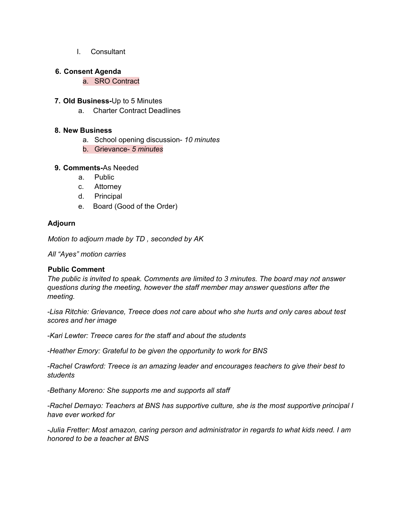I. Consultant

#### **6. Consent Agenda**

#### a. SRO Contract

- **7. Old Business-**Up to 5 Minutes
	- a. Charter Contract Deadlines

#### **8. New Business**

- a. School opening discussion- *10 minutes*
- b. Grievance- *5 minutes*

#### **9. Comments-**As Needed

- a. Public
- c. Attorney
- d. Principal
- e. Board (Good of the Order)

# **Adjourn**

*Motion to adjourn made by TD , seconded by AK*

*All "Ayes" motion carries*

# **Public Comment**

*The public is invited to speak. Comments are limited to 3 minutes. The board may not answer questions during the meeting, however the staff member may answer questions after the meeting.*

*-Lisa Ritchie: Grievance, Treece does not care about who she hurts and only cares about test scores and her image*

*-Kari Lewter: Treece cares for the staff and about the students*

*-Heather Emory: Grateful to be given the opportunity to work for BNS*

*-Rachel Crawford: Treece is an amazing leader and encourages teachers to give their best to students*

*-Bethany Moreno: She supports me and supports all staff*

*-Rachel Demayo: Teachers at BNS has supportive culture, she is the most supportive principal I have ever worked for*

*-Julia Fretter: Most amazon, caring person and administrator in regards to what kids need. I am honored to be a teacher at BNS*